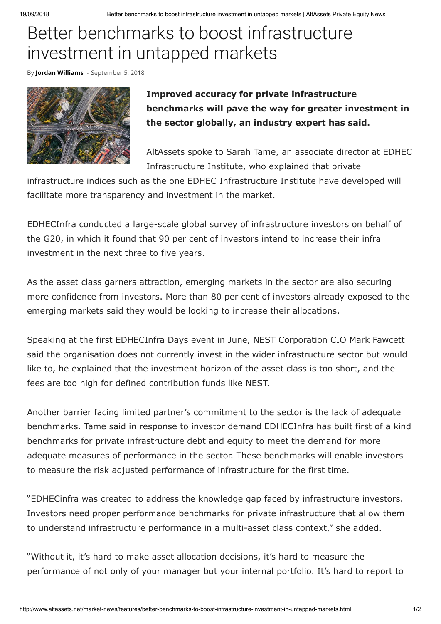## Better benchmarks to boost infrastructure investment in untapped markets

By **[Jordan Williams](http://www.altassets.net/author/jordanw)** - September 5, 2018



**Improved accuracy for private infrastructure benchmarks will pave the way for greater investment in the sector globally, an industry expert has said.**

AltAssets spoke to Sarah Tame, an associate director at EDHEC Infrastructure Institute, who explained that private

infrastructure indices such as the one EDHEC Infrastructure Institute have developed will facilitate more transparency and investment in the market.

EDHECInfra conducted a large-scale global survey of infrastructure investors on behalf of the G20, in which it found that 90 per cent of investors intend to increase their infra investment in the next three to five years.

As the asset class garners attraction, emerging markets in the sector are also securing more confidence from investors. More than 80 per cent of investors already exposed to the emerging markets said they would be looking to increase their allocations.

Speaking at the first EDHECInfra Days event in June, NEST Corporation CIO Mark Fawcett said the organisation does not currently invest in the wider infrastructure sector but would like to, he explained that the investment horizon of the asset class is too short, and the fees are too high for defined contribution funds like NEST.

Another barrier facing limited partner's commitment to the sector is the lack of adequate benchmarks. Tame said in response to investor demand EDHECInfra has built first of a kind benchmarks for private infrastructure debt and equity to meet the demand for more adequate measures of performance in the sector. These benchmarks will enable investors to measure the risk adjusted performance of infrastructure for the first time.

"EDHECinfra was created to address the knowledge gap faced by infrastructure investors. Investors need proper performance benchmarks for private infrastructure that allow them to understand infrastructure performance in a multi-asset class context," she added.

"Without it, it's hard to make asset allocation decisions, it's hard to measure the performance of not only of your manager but your internal portfolio. It's hard to report to